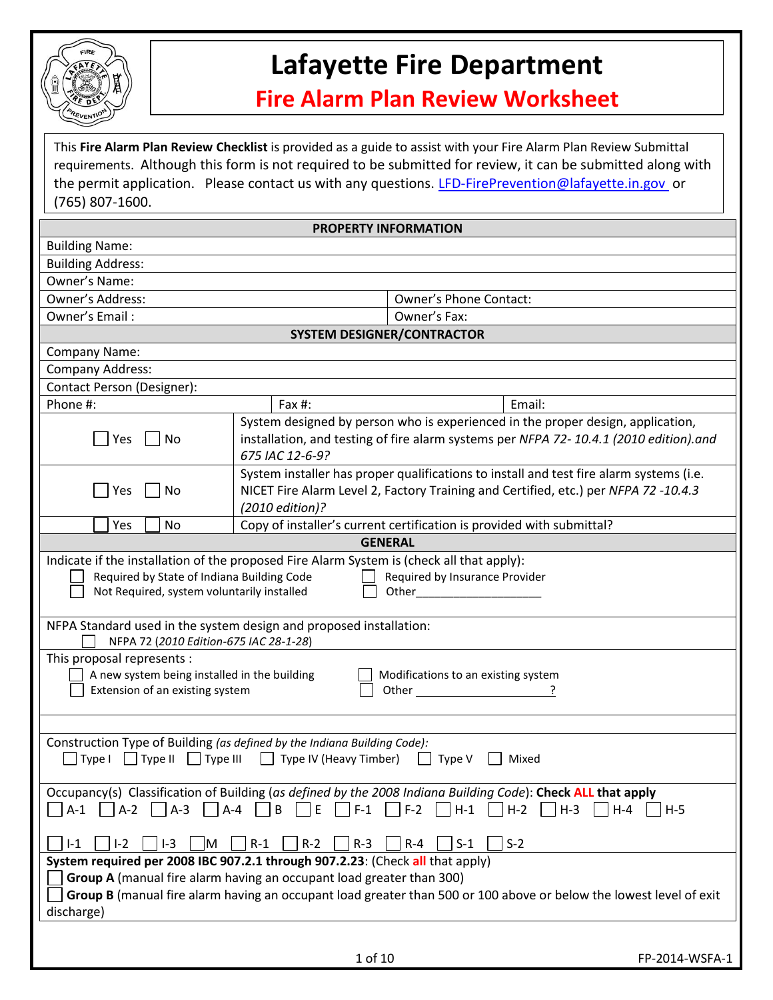

## **Lafayette Fire Department**

## **Fire Alarm Plan Review Worksheet**

This **Fire Alarm Plan Review Checklist** is provided as a guide to assist with your Fire Alarm Plan Review Submittal requirements. Although this form is not required to be submitted for review, it can be submitted along with the permit application. Please contact us with any questions. [LFD-FirePrevention@lafayette.in.gov](mailto:LFD-FirePrevention@lafayette.in.gov) or (765) 807-1600.

|                                                                                                               | <b>PROPERTY INFORMATION</b>                                                                                                                                                                                                                                                                                                                                   |  |  |  |  |
|---------------------------------------------------------------------------------------------------------------|---------------------------------------------------------------------------------------------------------------------------------------------------------------------------------------------------------------------------------------------------------------------------------------------------------------------------------------------------------------|--|--|--|--|
| <b>Building Name:</b>                                                                                         |                                                                                                                                                                                                                                                                                                                                                               |  |  |  |  |
| <b>Building Address:</b>                                                                                      |                                                                                                                                                                                                                                                                                                                                                               |  |  |  |  |
| Owner's Name:                                                                                                 |                                                                                                                                                                                                                                                                                                                                                               |  |  |  |  |
| Owner's Address:                                                                                              | <b>Owner's Phone Contact:</b>                                                                                                                                                                                                                                                                                                                                 |  |  |  |  |
| Owner's Email:                                                                                                | Owner's Fax:                                                                                                                                                                                                                                                                                                                                                  |  |  |  |  |
|                                                                                                               | <b>SYSTEM DESIGNER/CONTRACTOR</b>                                                                                                                                                                                                                                                                                                                             |  |  |  |  |
| Company Name:                                                                                                 |                                                                                                                                                                                                                                                                                                                                                               |  |  |  |  |
| <b>Company Address:</b>                                                                                       |                                                                                                                                                                                                                                                                                                                                                               |  |  |  |  |
| <b>Contact Person (Designer):</b>                                                                             |                                                                                                                                                                                                                                                                                                                                                               |  |  |  |  |
| Phone #:                                                                                                      | Email:<br>Fax #:                                                                                                                                                                                                                                                                                                                                              |  |  |  |  |
| No<br>Yes                                                                                                     | System designed by person who is experienced in the proper design, application,<br>installation, and testing of fire alarm systems per NFPA 72-10.4.1 (2010 edition).and<br>675 IAC 12-6-9?                                                                                                                                                                   |  |  |  |  |
| Yes<br>No                                                                                                     | System installer has proper qualifications to install and test fire alarm systems (i.e.<br>NICET Fire Alarm Level 2, Factory Training and Certified, etc.) per NFPA 72 -10.4.3<br>(2010 edition)?                                                                                                                                                             |  |  |  |  |
| Yes<br>No                                                                                                     | Copy of installer's current certification is provided with submittal?                                                                                                                                                                                                                                                                                         |  |  |  |  |
|                                                                                                               | <b>GENERAL</b>                                                                                                                                                                                                                                                                                                                                                |  |  |  |  |
| Required by State of Indiana Building Code<br>Not Required, system voluntarily installed                      | Indicate if the installation of the proposed Fire Alarm System is (check all that apply):<br>Required by Insurance Provider<br>Other the contract of the contract of the contract of the contract of the contract of the contract of the contract of the contract of the contract of the contract of the contract of the contract of the contract of the cont |  |  |  |  |
| NFPA 72 (2010 Edition-675 IAC 28-1-28)                                                                        | NFPA Standard used in the system design and proposed installation:                                                                                                                                                                                                                                                                                            |  |  |  |  |
| This proposal represents :<br>A new system being installed in the building<br>Extension of an existing system | Modifications to an existing system                                                                                                                                                                                                                                                                                                                           |  |  |  |  |
|                                                                                                               |                                                                                                                                                                                                                                                                                                                                                               |  |  |  |  |
| $\Box$ Type I $\Box$ Type II $\Box$ Type III                                                                  | Construction Type of Building (as defined by the Indiana Building Code):<br>$\Box$ Type IV (Heavy Timber)<br>Type V<br>Mixed                                                                                                                                                                                                                                  |  |  |  |  |
| $A-1$<br>$A-2$<br>$ A-3 $<br>$I-3$<br>$I-2$<br>M<br>$I-1$                                                     | Occupancy(s) Classification of Building (as defined by the 2008 Indiana Building Code): Check ALL that apply<br>$A - 4$<br>B<br>E<br>$F-1$<br>$F-2$<br>$H-1$<br>$H-2$<br>$H-3$<br>$H - 4$<br>$H-5$<br>$R-1$<br>$R-2$<br>$R-3$<br>$S-1$<br>$S-2$<br>$R - 4$                                                                                                    |  |  |  |  |
|                                                                                                               | System required per 2008 IBC 907.2.1 through 907.2.23: (Check all that apply)                                                                                                                                                                                                                                                                                 |  |  |  |  |
| discharge)                                                                                                    | Group A (manual fire alarm having an occupant load greater than 300)<br>Group B (manual fire alarm having an occupant load greater than 500 or 100 above or below the lowest level of exit                                                                                                                                                                    |  |  |  |  |
|                                                                                                               |                                                                                                                                                                                                                                                                                                                                                               |  |  |  |  |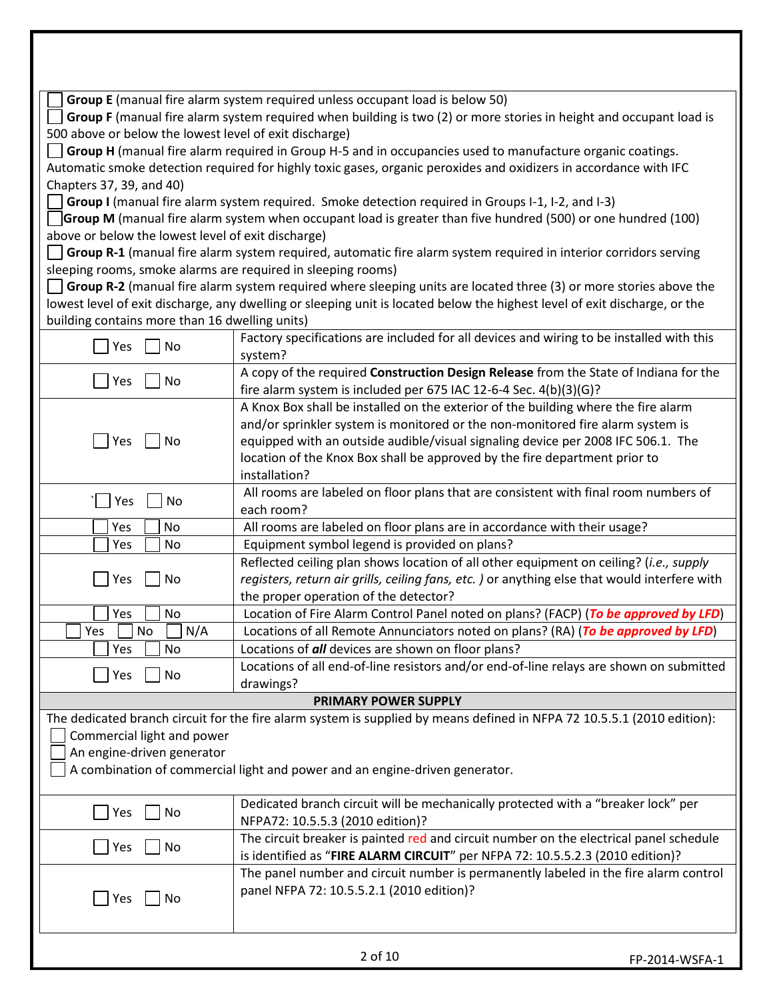|                                                              | Group E (manual fire alarm system required unless occupant load is below 50)                                               |                |
|--------------------------------------------------------------|----------------------------------------------------------------------------------------------------------------------------|----------------|
|                                                              | Group F (manual fire alarm system required when building is two (2) or more stories in height and occupant load is         |                |
| 500 above or below the lowest level of exit discharge)       |                                                                                                                            |                |
|                                                              | Group H (manual fire alarm required in Group H-5 and in occupancies used to manufacture organic coatings.                  |                |
|                                                              | Automatic smoke detection required for highly toxic gases, organic peroxides and oxidizers in accordance with IFC          |                |
| Chapters 37, 39, and 40)                                     |                                                                                                                            |                |
|                                                              | Group I (manual fire alarm system required. Smoke detection required in Groups I-1, I-2, and I-3)                          |                |
|                                                              | Group M (manual fire alarm system when occupant load is greater than five hundred (500) or one hundred (100)               |                |
| above or below the lowest level of exit discharge)           |                                                                                                                            |                |
|                                                              | Group R-1 (manual fire alarm system required, automatic fire alarm system required in interior corridors serving           |                |
| sleeping rooms, smoke alarms are required in sleeping rooms) |                                                                                                                            |                |
|                                                              | Group R-2 (manual fire alarm system required where sleeping units are located three (3) or more stories above the          |                |
|                                                              | lowest level of exit discharge, any dwelling or sleeping unit is located below the highest level of exit discharge, or the |                |
| building contains more than 16 dwelling units)               |                                                                                                                            |                |
|                                                              | Factory specifications are included for all devices and wiring to be installed with this                                   |                |
| Yes<br>No                                                    | system?                                                                                                                    |                |
|                                                              | A copy of the required Construction Design Release from the State of Indiana for the                                       |                |
| Yes<br>No                                                    | fire alarm system is included per 675 IAC 12-6-4 Sec. 4(b)(3)(G)?                                                          |                |
|                                                              | A Knox Box shall be installed on the exterior of the building where the fire alarm                                         |                |
|                                                              | and/or sprinkler system is monitored or the non-monitored fire alarm system is                                             |                |
| Yes<br>No                                                    | equipped with an outside audible/visual signaling device per 2008 IFC 506.1. The                                           |                |
|                                                              | location of the Knox Box shall be approved by the fire department prior to                                                 |                |
|                                                              | installation?                                                                                                              |                |
|                                                              | All rooms are labeled on floor plans that are consistent with final room numbers of                                        |                |
| Yes<br>No                                                    | each room?                                                                                                                 |                |
| Yes<br>No                                                    | All rooms are labeled on floor plans are in accordance with their usage?                                                   |                |
| No<br>Yes                                                    | Equipment symbol legend is provided on plans?                                                                              |                |
|                                                              | Reflected ceiling plan shows location of all other equipment on ceiling? (i.e., supply                                     |                |
| Yes<br>No                                                    | registers, return air grills, ceiling fans, etc. ) or anything else that would interfere with                              |                |
|                                                              | the proper operation of the detector?                                                                                      |                |
| Yes<br>No                                                    | Location of Fire Alarm Control Panel noted on plans? (FACP) (To be approved by LFD)                                        |                |
| N/A<br>Yes<br>No                                             | Locations of all Remote Annunciators noted on plans? (RA) (To be approved by LFD)                                          |                |
| Yes<br>No                                                    | Locations of all devices are shown on floor plans?                                                                         |                |
|                                                              | Locations of all end-of-line resistors and/or end-of-line relays are shown on submitted                                    |                |
| No<br>Yes                                                    | drawings?                                                                                                                  |                |
|                                                              | PRIMARY POWER SUPPLY                                                                                                       |                |
|                                                              | The dedicated branch circuit for the fire alarm system is supplied by means defined in NFPA 72 10.5.5.1 (2010 edition):    |                |
| Commercial light and power                                   |                                                                                                                            |                |
| An engine-driven generator                                   |                                                                                                                            |                |
|                                                              | A combination of commercial light and power and an engine-driven generator.                                                |                |
|                                                              |                                                                                                                            |                |
|                                                              | Dedicated branch circuit will be mechanically protected with a "breaker lock" per                                          |                |
| Yes<br>No                                                    | NFPA72: 10.5.5.3 (2010 edition)?                                                                                           |                |
|                                                              |                                                                                                                            |                |
| No<br>Yes                                                    | The circuit breaker is painted red and circuit number on the electrical panel schedule                                     |                |
|                                                              | is identified as "FIRE ALARM CIRCUIT" per NFPA 72: 10.5.5.2.3 (2010 edition)?                                              |                |
|                                                              | The panel number and circuit number is permanently labeled in the fire alarm control                                       |                |
| Yes<br>No                                                    | panel NFPA 72: 10.5.5.2.1 (2010 edition)?                                                                                  |                |
|                                                              |                                                                                                                            |                |
|                                                              |                                                                                                                            |                |
|                                                              | 2 of 10                                                                                                                    |                |
|                                                              |                                                                                                                            | FP-2014-WSFA-1 |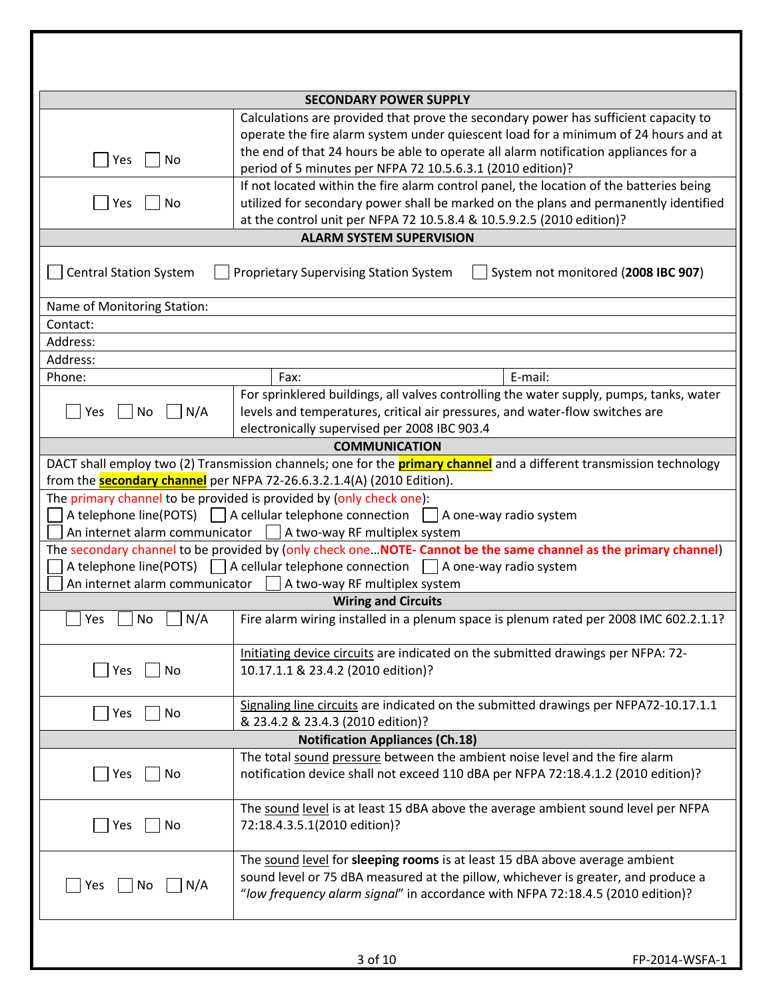|                                       | <b>SECONDARY POWER SUPPLY</b>                                                                                                                                                                                                                                                                                                   |  |
|---------------------------------------|---------------------------------------------------------------------------------------------------------------------------------------------------------------------------------------------------------------------------------------------------------------------------------------------------------------------------------|--|
| Yes<br>No                             | Calculations are provided that prove the secondary power has sufficient capacity to<br>operate the fire alarm system under quiescent load for a minimum of 24 hours and at<br>the end of that 24 hours be able to operate all alarm notification appliances for a<br>period of 5 minutes per NFPA 72 10.5.6.3.1 (2010 edition)? |  |
| No<br>Yes                             | If not located within the fire alarm control panel, the location of the batteries being<br>utilized for secondary power shall be marked on the plans and permanently identified<br>at the control unit per NFPA 72 10.5.8.4 & 10.5.9.2.5 (2010 edition)?                                                                        |  |
|                                       | <b>ALARM SYSTEM SUPERVISION</b>                                                                                                                                                                                                                                                                                                 |  |
| <b>Central Station System</b>         | <b>Proprietary Supervising Station System</b><br>System not monitored (2008 IBC 907)                                                                                                                                                                                                                                            |  |
| Name of Monitoring Station:           |                                                                                                                                                                                                                                                                                                                                 |  |
| Contact:                              |                                                                                                                                                                                                                                                                                                                                 |  |
| Address:                              |                                                                                                                                                                                                                                                                                                                                 |  |
| Address:                              |                                                                                                                                                                                                                                                                                                                                 |  |
| Phone:                                | E-mail:<br>Fax:                                                                                                                                                                                                                                                                                                                 |  |
| N/A<br>No<br>Yes                      | For sprinklered buildings, all valves controlling the water supply, pumps, tanks, water<br>levels and temperatures, critical air pressures, and water-flow switches are<br>electronically supervised per 2008 IBC 903.4                                                                                                         |  |
|                                       | <b>COMMUNICATION</b>                                                                                                                                                                                                                                                                                                            |  |
|                                       | DACT shall employ two (2) Transmission channels; one for the <b>primary channel</b> and a different transmission technology<br>from the <b>secondary channel</b> per NFPA 72-26.6.3.2.1.4(A) (2010 Edition).                                                                                                                    |  |
|                                       | The primary channel to be provided is provided by (only check one):<br>A telephone line(POTS) $\Box$ A cellular telephone connection $\Box$ A one-way radio system<br>An internet alarm communicator     A two-way RF multiplex system                                                                                          |  |
| An internet alarm communicator        | The secondary channel to be provided by (only check one NOTE- Cannot be the same channel as the primary channel)<br>A telephone line(POTS) $\Box$ A cellular telephone connection $\Box$ A one-way radio system<br>A two-way RF multiplex system                                                                                |  |
|                                       | <b>Wiring and Circuits</b>                                                                                                                                                                                                                                                                                                      |  |
| Yes<br>$\bigsqcup$ No $\bigsqcup$ N/A | Fire alarm wiring installed in a plenum space is plenum rated per 2008 IMC 602.2.1.1?                                                                                                                                                                                                                                           |  |
| Yes<br>No                             | Initiating device circuits are indicated on the submitted drawings per NFPA: 72-<br>10.17.1.1 & 23.4.2 (2010 edition)?                                                                                                                                                                                                          |  |
| Yes<br>No                             | Signaling line circuits are indicated on the submitted drawings per NFPA72-10.17.1.1<br>& 23.4.2 & 23.4.3 (2010 edition)?                                                                                                                                                                                                       |  |
|                                       | <b>Notification Appliances (Ch.18)</b>                                                                                                                                                                                                                                                                                          |  |
| Yes<br>No                             | The total sound pressure between the ambient noise level and the fire alarm<br>notification device shall not exceed 110 dBA per NFPA 72:18.4.1.2 (2010 edition)?                                                                                                                                                                |  |
| Yes<br>No                             | The sound level is at least 15 dBA above the average ambient sound level per NFPA<br>72:18.4.3.5.1(2010 edition)?                                                                                                                                                                                                               |  |
| Yes<br>No<br>N/A                      | The sound level for sleeping rooms is at least 15 dBA above average ambient<br>sound level or 75 dBA measured at the pillow, whichever is greater, and produce a<br>"low frequency alarm signal" in accordance with NFPA 72:18.4.5 (2010 edition)?                                                                              |  |
|                                       | 3 of 10<br>FP-2014-WSFA-1                                                                                                                                                                                                                                                                                                       |  |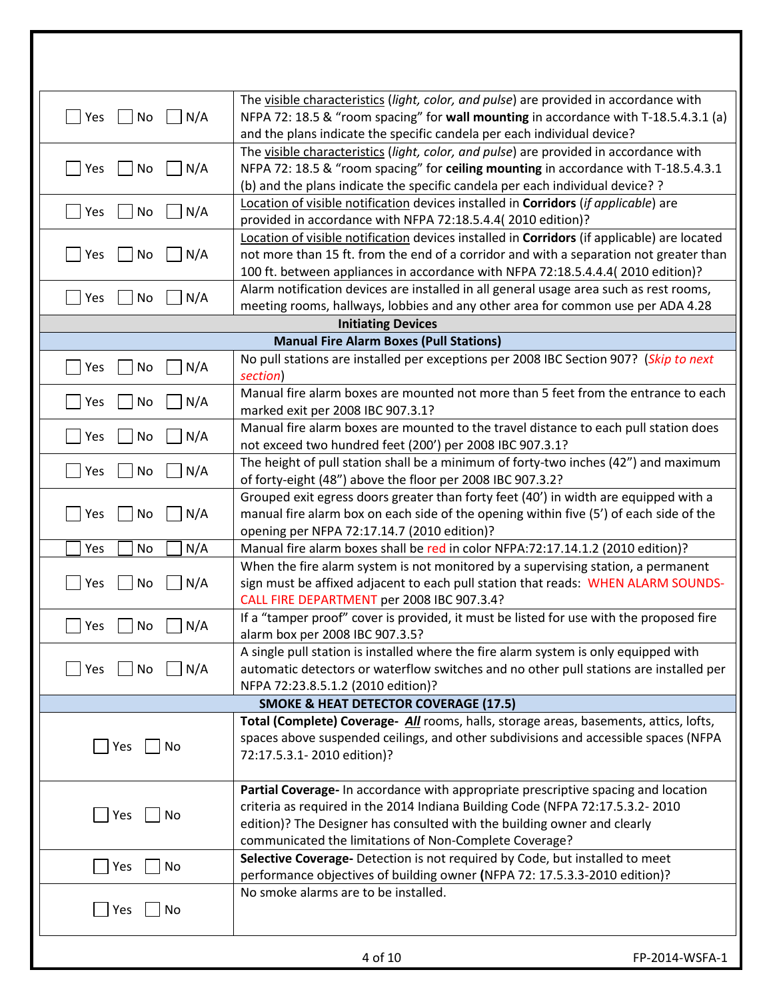| $\Box$ N/A<br>Yes<br>No                                | The visible characteristics (light, color, and pulse) are provided in accordance with<br>NFPA 72: 18.5 & "room spacing" for wall mounting in accordance with T-18.5.4.3.1 (a) |                |
|--------------------------------------------------------|-------------------------------------------------------------------------------------------------------------------------------------------------------------------------------|----------------|
|                                                        | and the plans indicate the specific candela per each individual device?                                                                                                       |                |
|                                                        | The visible characteristics (light, color, and pulse) are provided in accordance with                                                                                         |                |
| No<br>N/A<br>Yes                                       | NFPA 72: 18.5 & "room spacing" for ceiling mounting in accordance with T-18.5.4.3.1                                                                                           |                |
|                                                        | (b) and the plans indicate the specific candela per each individual device? ?                                                                                                 |                |
| N/A<br>Yes<br>No                                       | Location of visible notification devices installed in Corridors (if applicable) are<br>provided in accordance with NFPA 72:18.5.4.4(2010 edition)?                            |                |
|                                                        | Location of visible notification devices installed in Corridors (if applicable) are located                                                                                   |                |
| Yes<br>No<br>N/A                                       | not more than 15 ft. from the end of a corridor and with a separation not greater than                                                                                        |                |
|                                                        | 100 ft. between appliances in accordance with NFPA 72:18.5.4.4.4(2010 edition)?                                                                                               |                |
|                                                        | Alarm notification devices are installed in all general usage area such as rest rooms,                                                                                        |                |
| Yes<br>N/A<br>No                                       | meeting rooms, hallways, lobbies and any other area for common use per ADA 4.28                                                                                               |                |
|                                                        | <b>Initiating Devices</b>                                                                                                                                                     |                |
|                                                        | <b>Manual Fire Alarm Boxes (Pull Stations)</b>                                                                                                                                |                |
|                                                        | No pull stations are installed per exceptions per 2008 IBC Section 907? (Skip to next                                                                                         |                |
| N/A<br>Yes<br>No                                       | section)                                                                                                                                                                      |                |
|                                                        | Manual fire alarm boxes are mounted not more than 5 feet from the entrance to each                                                                                            |                |
| N/A<br>Yes<br>No                                       | marked exit per 2008 IBC 907.3.1?                                                                                                                                             |                |
|                                                        | Manual fire alarm boxes are mounted to the travel distance to each pull station does                                                                                          |                |
| N/A<br>Yes<br>No                                       | not exceed two hundred feet (200') per 2008 IBC 907.3.1?                                                                                                                      |                |
|                                                        | The height of pull station shall be a minimum of forty-two inches (42") and maximum                                                                                           |                |
| Yes<br>N/A<br>No                                       | of forty-eight (48") above the floor per 2008 IBC 907.3.2?                                                                                                                    |                |
|                                                        | Grouped exit egress doors greater than forty feet (40') in width are equipped with a                                                                                          |                |
| N/A<br>Yes<br>No                                       | manual fire alarm box on each side of the opening within five (5') of each side of the                                                                                        |                |
|                                                        | opening per NFPA 72:17.14.7 (2010 edition)?                                                                                                                                   |                |
| N/A<br>Yes<br>No                                       | Manual fire alarm boxes shall be red in color NFPA:72:17.14.1.2 (2010 edition)?                                                                                               |                |
|                                                        | When the fire alarm system is not monitored by a supervising station, a permanent                                                                                             |                |
| N/A<br>Yes<br>No                                       | sign must be affixed adjacent to each pull station that reads: WHEN ALARM SOUNDS-                                                                                             |                |
|                                                        | CALL FIRE DEPARTMENT per 2008 IBC 907.3.4?                                                                                                                                    |                |
| $\Box$ Yes $\Box$ No $\Box$ N/A                        | If a "tamper proof" cover is provided, it must be listed for use with the proposed fire                                                                                       |                |
|                                                        | alarm box per 2008 IBC 907.3.5?                                                                                                                                               |                |
|                                                        | A single pull station is installed where the fire alarm system is only equipped with                                                                                          |                |
| $\Box$ N/A<br>$\blacksquare$ Yes<br>$\vert$ $\vert$ No | automatic detectors or waterflow switches and no other pull stations are installed per                                                                                        |                |
|                                                        | NFPA 72:23.8.5.1.2 (2010 edition)?                                                                                                                                            |                |
|                                                        | <b>SMOKE &amp; HEAT DETECTOR COVERAGE (17.5)</b>                                                                                                                              |                |
|                                                        | Total (Complete) Coverage- All rooms, halls, storage areas, basements, attics, lofts,                                                                                         |                |
| Yes<br>  No                                            | spaces above suspended ceilings, and other subdivisions and accessible spaces (NFPA                                                                                           |                |
|                                                        | 72:17.5.3.1-2010 edition)?                                                                                                                                                    |                |
|                                                        |                                                                                                                                                                               |                |
|                                                        | Partial Coverage- In accordance with appropriate prescriptive spacing and location<br>criteria as required in the 2014 Indiana Building Code (NFPA 72:17.5.3.2-2010           |                |
| Yes<br>No                                              | edition)? The Designer has consulted with the building owner and clearly                                                                                                      |                |
|                                                        | communicated the limitations of Non-Complete Coverage?                                                                                                                        |                |
|                                                        | Selective Coverage- Detection is not required by Code, but installed to meet                                                                                                  |                |
| <b>Pres</b><br>No                                      | performance objectives of building owner (NFPA 72: 17.5.3.3-2010 edition)?                                                                                                    |                |
|                                                        | No smoke alarms are to be installed.                                                                                                                                          |                |
| $\blacksquare$ Yes<br>  No                             |                                                                                                                                                                               |                |
|                                                        |                                                                                                                                                                               |                |
|                                                        |                                                                                                                                                                               |                |
|                                                        | 4 of 10                                                                                                                                                                       | FP-2014-WSFA-1 |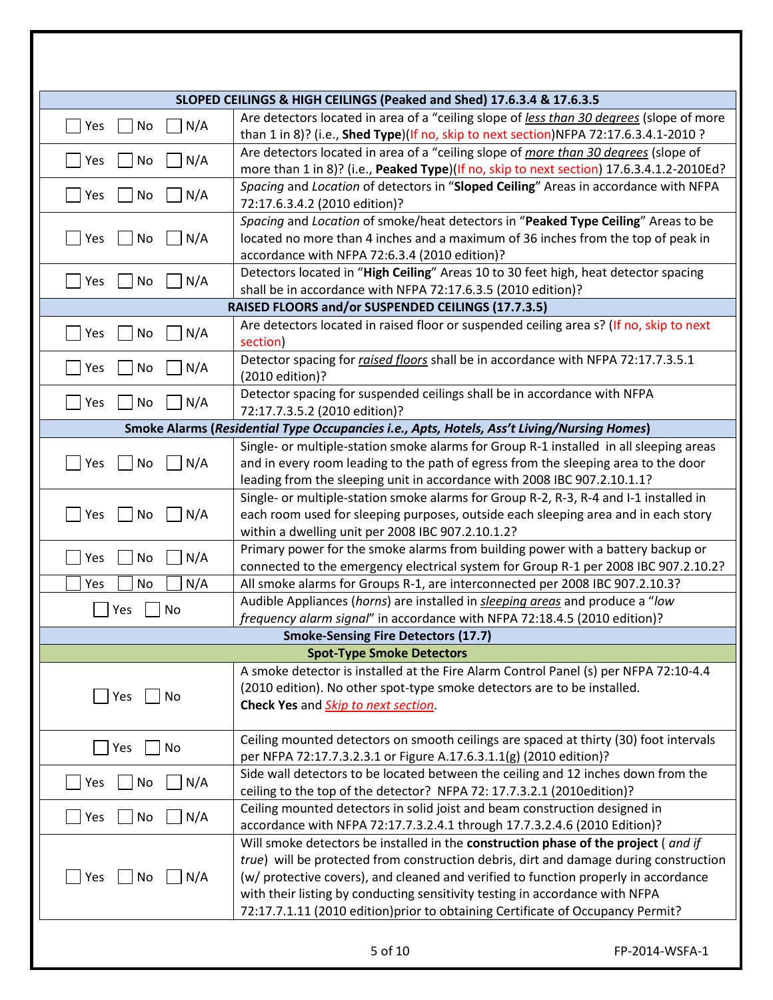|                                 | SLOPED CEILINGS & HIGH CEILINGS (Peaked and Shed) 17.6.3.4 & 17.6.3.5                                                                                                                                                                                                                                                                                                                                                                 |                |
|---------------------------------|---------------------------------------------------------------------------------------------------------------------------------------------------------------------------------------------------------------------------------------------------------------------------------------------------------------------------------------------------------------------------------------------------------------------------------------|----------------|
| $\Box$ Yes<br>N/A<br>No         | Are detectors located in area of a "ceiling slope of less than 30 degrees (slope of more<br>than 1 in 8)? (i.e., Shed Type)(If no, skip to next section)NFPA 72:17.6.3.4.1-2010 ?                                                                                                                                                                                                                                                     |                |
| N/A<br><b>Yes</b><br>No         | Are detectors located in area of a "ceiling slope of more than 30 degrees (slope of<br>more than 1 in 8)? (i.e., Peaked Type)(If no, skip to next section) 17.6.3.4.1.2-2010Ed?                                                                                                                                                                                                                                                       |                |
| $\blacksquare$ Yes<br>N/A<br>No | Spacing and Location of detectors in "Sloped Ceiling" Areas in accordance with NFPA<br>72:17.6.3.4.2 (2010 edition)?                                                                                                                                                                                                                                                                                                                  |                |
| Yes<br>No<br>N/A                | Spacing and Location of smoke/heat detectors in "Peaked Type Ceiling" Areas to be<br>located no more than 4 inches and a maximum of 36 inches from the top of peak in<br>accordance with NFPA 72:6.3.4 (2010 edition)?                                                                                                                                                                                                                |                |
| Yes<br>N/A<br>No                | Detectors located in "High Ceiling" Areas 10 to 30 feet high, heat detector spacing<br>shall be in accordance with NFPA 72:17.6.3.5 (2010 edition)?                                                                                                                                                                                                                                                                                   |                |
|                                 | RAISED FLOORS and/or SUSPENDED CEILINGS (17.7.3.5)                                                                                                                                                                                                                                                                                                                                                                                    |                |
| $\sqsupset$ Yes<br>N/A<br>No    | Are detectors located in raised floor or suspended ceiling area s? (If no, skip to next<br>section)                                                                                                                                                                                                                                                                                                                                   |                |
| Yes<br>N/A<br>No                | Detector spacing for raised floors shall be in accordance with NFPA 72:17.7.3.5.1<br>(2010 edition)?                                                                                                                                                                                                                                                                                                                                  |                |
| N/A<br><b>Yes</b><br>No         | Detector spacing for suspended ceilings shall be in accordance with NFPA<br>72:17.7.3.5.2 (2010 edition)?                                                                                                                                                                                                                                                                                                                             |                |
|                                 | Smoke Alarms (Residential Type Occupancies i.e., Apts, Hotels, Ass't Living/Nursing Homes)                                                                                                                                                                                                                                                                                                                                            |                |
| $ $ Yes<br>N/A<br>No            | Single- or multiple-station smoke alarms for Group R-1 installed in all sleeping areas<br>and in every room leading to the path of egress from the sleeping area to the door<br>leading from the sleeping unit in accordance with 2008 IBC 907.2.10.1.1?                                                                                                                                                                              |                |
| N/A<br>Yes<br>No                | Single- or multiple-station smoke alarms for Group R-2, R-3, R-4 and I-1 installed in<br>each room used for sleeping purposes, outside each sleeping area and in each story<br>within a dwelling unit per 2008 IBC 907.2.10.1.2?                                                                                                                                                                                                      |                |
| $\vert$ Yes<br>No<br>N/A        | Primary power for the smoke alarms from building power with a battery backup or<br>connected to the emergency electrical system for Group R-1 per 2008 IBC 907.2.10.2?                                                                                                                                                                                                                                                                |                |
| N/A<br>Yes<br>No<br>Yes<br>No   | All smoke alarms for Groups R-1, are interconnected per 2008 IBC 907.2.10.3?<br>Audible Appliances (horns) are installed in sleeping areas and produce a "low<br>frequency alarm signal" in accordance with NFPA 72:18.4.5 (2010 edition)?                                                                                                                                                                                            |                |
|                                 | <b>Smoke-Sensing Fire Detectors (17.7)</b>                                                                                                                                                                                                                                                                                                                                                                                            |                |
|                                 | <b>Spot-Type Smoke Detectors</b>                                                                                                                                                                                                                                                                                                                                                                                                      |                |
| Yes<br>No                       | A smoke detector is installed at the Fire Alarm Control Panel (s) per NFPA 72:10-4.4<br>(2010 edition). No other spot-type smoke detectors are to be installed.<br><b>Check Yes</b> and <i>Skip to next section</i> .                                                                                                                                                                                                                 |                |
| Yes<br>No                       | Ceiling mounted detectors on smooth ceilings are spaced at thirty (30) foot intervals<br>per NFPA 72:17.7.3.2.3.1 or Figure A.17.6.3.1.1(g) (2010 edition)?                                                                                                                                                                                                                                                                           |                |
| N/A<br> Yes<br>No               | Side wall detectors to be located between the ceiling and 12 inches down from the<br>ceiling to the top of the detector? NFPA 72: 17.7.3.2.1 (2010edition)?                                                                                                                                                                                                                                                                           |                |
| N/A<br><b>Primary</b> Yes<br>No | Ceiling mounted detectors in solid joist and beam construction designed in<br>accordance with NFPA 72:17.7.3.2.4.1 through 17.7.3.2.4.6 (2010 Edition)?                                                                                                                                                                                                                                                                               |                |
| Yes<br>N/A<br>No                | Will smoke detectors be installed in the construction phase of the project (and if<br>true) will be protected from construction debris, dirt and damage during construction<br>(w/ protective covers), and cleaned and verified to function properly in accordance<br>with their listing by conducting sensitivity testing in accordance with NFPA<br>72:17.7.1.11 (2010 edition) prior to obtaining Certificate of Occupancy Permit? |                |
|                                 | 5 of 10                                                                                                                                                                                                                                                                                                                                                                                                                               | FP-2014-WSFA-1 |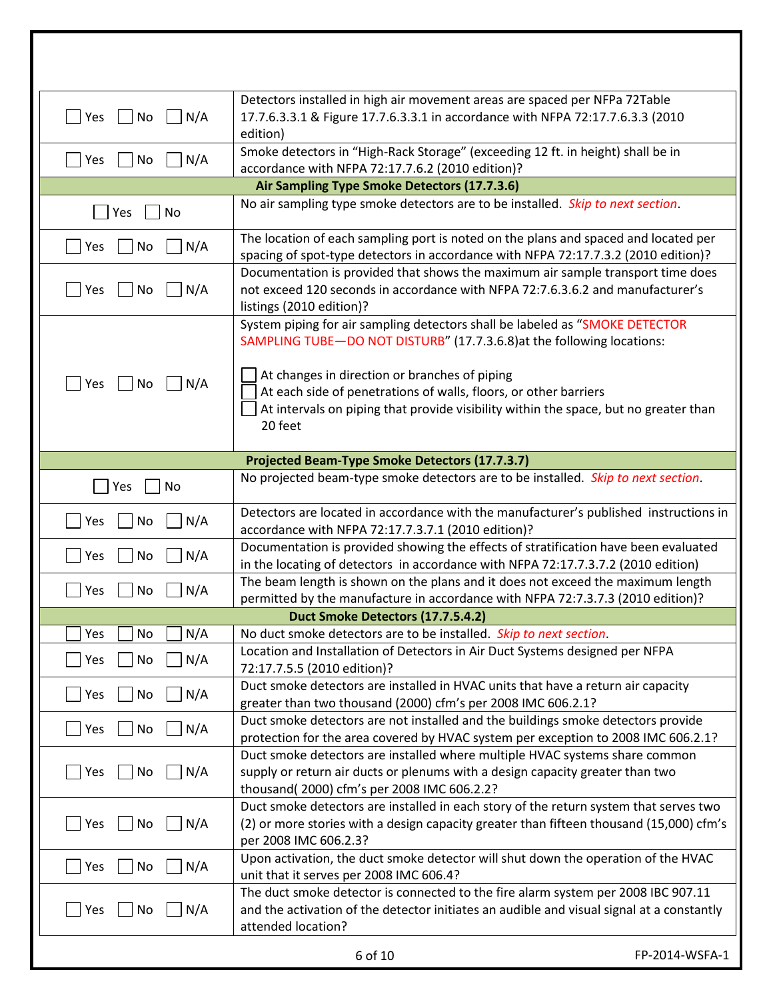| $^{-}$   Yes<br>$\vert$   No<br>N/A | Detectors installed in high air movement areas are spaced per NFPa 72Table<br>17.7.6.3.3.1 & Figure 17.7.6.3.3.1 in accordance with NFPA 72:17.7.6.3.3 (2010<br>edition)                                             |                |
|-------------------------------------|----------------------------------------------------------------------------------------------------------------------------------------------------------------------------------------------------------------------|----------------|
| N/A<br>Yes<br>No                    | Smoke detectors in "High-Rack Storage" (exceeding 12 ft. in height) shall be in<br>accordance with NFPA 72:17.7.6.2 (2010 edition)?                                                                                  |                |
|                                     | Air Sampling Type Smoke Detectors (17.7.3.6)                                                                                                                                                                         |                |
| Yes<br>No                           | No air sampling type smoke detectors are to be installed. Skip to next section.                                                                                                                                      |                |
| Yes<br>No<br>N/A                    | The location of each sampling port is noted on the plans and spaced and located per<br>spacing of spot-type detectors in accordance with NFPA 72:17.7.3.2 (2010 edition)?                                            |                |
| N/A<br>Yes<br>No                    | Documentation is provided that shows the maximum air sample transport time does<br>not exceed 120 seconds in accordance with NFPA 72:7.6.3.6.2 and manufacturer's<br>listings (2010 edition)?                        |                |
|                                     | System piping for air sampling detectors shall be labeled as "SMOKE DETECTOR<br>SAMPLING TUBE-DO NOT DISTURB" (17.7.3.6.8) at the following locations:                                                               |                |
| Yes   No<br>$\vert$ $\vert$ N/A     | At changes in direction or branches of piping<br>At each side of penetrations of walls, floors, or other barriers<br>At intervals on piping that provide visibility within the space, but no greater than<br>20 feet |                |
|                                     | Projected Beam-Type Smoke Detectors (17.7.3.7)                                                                                                                                                                       |                |
| No<br>Yes                           | No projected beam-type smoke detectors are to be installed. Skip to next section.                                                                                                                                    |                |
| N/A<br>Yes<br>No                    | Detectors are located in accordance with the manufacturer's published instructions in<br>accordance with NFPA 72:17.7.3.7.1 (2010 edition)?                                                                          |                |
| N/A<br>Yes<br>No                    | Documentation is provided showing the effects of stratification have been evaluated<br>in the locating of detectors in accordance with NFPA 72:17.7.3.7.2 (2010 edition)                                             |                |
| N/A<br>Yes<br>No                    | The beam length is shown on the plans and it does not exceed the maximum length<br>permitted by the manufacture in accordance with NFPA 72:7.3.7.3 (2010 edition)?                                                   |                |
|                                     | Duct Smoke Detectors (17.7.5.4.2)                                                                                                                                                                                    |                |
| N/A<br>Yes<br>No                    | No duct smoke detectors are to be installed. Skip to next section.                                                                                                                                                   |                |
| N/A<br>No<br>Yes                    | Location and Installation of Detectors in Air Duct Systems designed per NFPA<br>72:17.7.5.5 (2010 edition)?                                                                                                          |                |
| Yes<br>No<br>N/A                    | Duct smoke detectors are installed in HVAC units that have a return air capacity<br>greater than two thousand (2000) cfm's per 2008 IMC 606.2.1?                                                                     |                |
| N/A<br>No<br>Yes                    | Duct smoke detectors are not installed and the buildings smoke detectors provide<br>protection for the area covered by HVAC system per exception to 2008 IMC 606.2.1?                                                |                |
| No<br>N/A<br>Yes                    | Duct smoke detectors are installed where multiple HVAC systems share common<br>supply or return air ducts or plenums with a design capacity greater than two<br>thousand(2000) cfm's per 2008 IMC 606.2.2?           |                |
| <b>Yes</b><br>No<br>N/A             | Duct smoke detectors are installed in each story of the return system that serves two<br>(2) or more stories with a design capacity greater than fifteen thousand (15,000) cfm's<br>per 2008 IMC 606.2.3?            |                |
| N/A<br>No<br>Yes                    | Upon activation, the duct smoke detector will shut down the operation of the HVAC<br>unit that it serves per 2008 IMC 606.4?                                                                                         |                |
| N/A<br>No<br>Yes                    | The duct smoke detector is connected to the fire alarm system per 2008 IBC 907.11<br>and the activation of the detector initiates an audible and visual signal at a constantly<br>attended location?                 |                |
|                                     | 6 of 10                                                                                                                                                                                                              | FP-2014-WSFA-1 |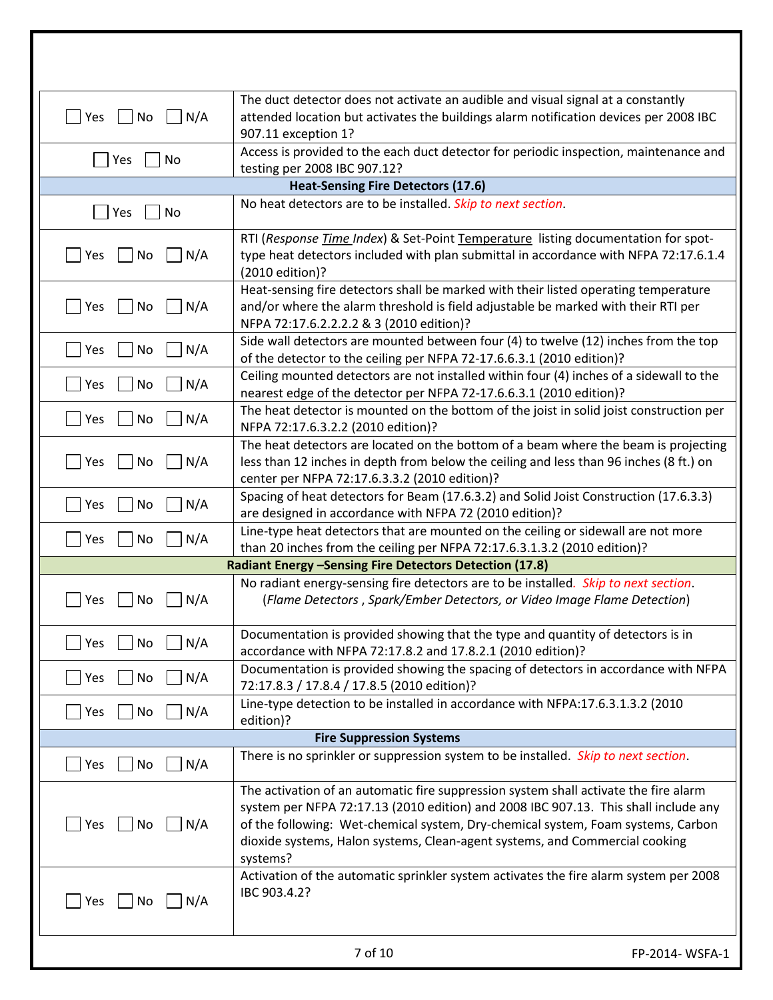| <b>Yes</b><br>$\vert$ $\vert$ No<br>$\big  N/A$ | The duct detector does not activate an audible and visual signal at a constantly<br>attended location but activates the buildings alarm notification devices per 2008 IBC<br>907.11 exception 1?                                                                                                                                                           |                |
|-------------------------------------------------|------------------------------------------------------------------------------------------------------------------------------------------------------------------------------------------------------------------------------------------------------------------------------------------------------------------------------------------------------------|----------------|
| Yes<br>No                                       | Access is provided to the each duct detector for periodic inspection, maintenance and<br>testing per 2008 IBC 907.12?                                                                                                                                                                                                                                      |                |
|                                                 | <b>Heat-Sensing Fire Detectors (17.6)</b>                                                                                                                                                                                                                                                                                                                  |                |
| Yes<br>No                                       | No heat detectors are to be installed. Skip to next section.                                                                                                                                                                                                                                                                                               |                |
| <b>Yes</b><br>   No<br>N/A                      | RTI (Response Time Index) & Set-Point Temperature listing documentation for spot-<br>type heat detectors included with plan submittal in accordance with NFPA 72:17.6.1.4<br>(2010 edition)?                                                                                                                                                               |                |
| TYes<br>N/A<br>No                               | Heat-sensing fire detectors shall be marked with their listed operating temperature<br>and/or where the alarm threshold is field adjustable be marked with their RTI per<br>NFPA 72:17.6.2.2.2.2 & 3 (2010 edition)?                                                                                                                                       |                |
| No<br>N/A<br>  Yes                              | Side wall detectors are mounted between four (4) to twelve (12) inches from the top<br>of the detector to the ceiling per NFPA 72-17.6.6.3.1 (2010 edition)?                                                                                                                                                                                               |                |
| $\Box$ Yes<br>N/A<br>No                         | Ceiling mounted detectors are not installed within four (4) inches of a sidewall to the<br>nearest edge of the detector per NFPA 72-17.6.6.3.1 (2010 edition)?                                                                                                                                                                                             |                |
| N/A<br> Yes<br>No                               | The heat detector is mounted on the bottom of the joist in solid joist construction per<br>NFPA 72:17.6.3.2.2 (2010 edition)?                                                                                                                                                                                                                              |                |
| <b>Yes</b><br>N/A<br>No                         | The heat detectors are located on the bottom of a beam where the beam is projecting<br>less than 12 inches in depth from below the ceiling and less than 96 inches (8 ft.) on<br>center per NFPA 72:17.6.3.3.2 (2010 edition)?                                                                                                                             |                |
| $\bigcap$ Yes<br>$\big  N/A$<br>$ $ No          | Spacing of heat detectors for Beam (17.6.3.2) and Solid Joist Construction (17.6.3.3)<br>are designed in accordance with NFPA 72 (2010 edition)?                                                                                                                                                                                                           |                |
| $\big  N/A$<br> Yes<br>No                       | Line-type heat detectors that are mounted on the ceiling or sidewall are not more<br>than 20 inches from the ceiling per NFPA 72:17.6.3.1.3.2 (2010 edition)?                                                                                                                                                                                              |                |
|                                                 | Radiant Energy -Sensing Fire Detectors Detection (17.8)                                                                                                                                                                                                                                                                                                    |                |
| Yes<br>N/A<br>No                                | No radiant energy-sensing fire detectors are to be installed. Skip to next section.<br>(Flame Detectors, Spark/Ember Detectors, or Video Image Flame Detection)                                                                                                                                                                                            |                |
| Yes<br>No<br>N/A                                | Documentation is provided showing that the type and quantity of detectors is in<br>accordance with NFPA 72:17.8.2 and 17.8.2.1 (2010 edition)?                                                                                                                                                                                                             |                |
| $\vert N/A$<br> Yes<br>No                       | Documentation is provided showing the spacing of detectors in accordance with NFPA<br>72:17.8.3 / 17.8.4 / 17.8.5 (2010 edition)?                                                                                                                                                                                                                          |                |
| $\vert N/A \vert$<br> Yes<br>No                 | Line-type detection to be installed in accordance with NFPA:17.6.3.1.3.2 (2010<br>edition)?                                                                                                                                                                                                                                                                |                |
|                                                 | <b>Fire Suppression Systems</b>                                                                                                                                                                                                                                                                                                                            |                |
| <b>Yes</b><br>No<br>N/A                         | There is no sprinkler or suppression system to be installed. Skip to next section.                                                                                                                                                                                                                                                                         |                |
| Yes<br>$\vert$ $\vert$ No<br>N/A                | The activation of an automatic fire suppression system shall activate the fire alarm<br>system per NFPA 72:17.13 (2010 edition) and 2008 IBC 907.13. This shall include any<br>of the following: Wet-chemical system, Dry-chemical system, Foam systems, Carbon<br>dioxide systems, Halon systems, Clean-agent systems, and Commercial cooking<br>systems? |                |
| Yes<br>No<br>$\vert N/A$                        | Activation of the automatic sprinkler system activates the fire alarm system per 2008<br>IBC 903.4.2?                                                                                                                                                                                                                                                      |                |
|                                                 | 7 of 10                                                                                                                                                                                                                                                                                                                                                    | FP-2014-WSFA-1 |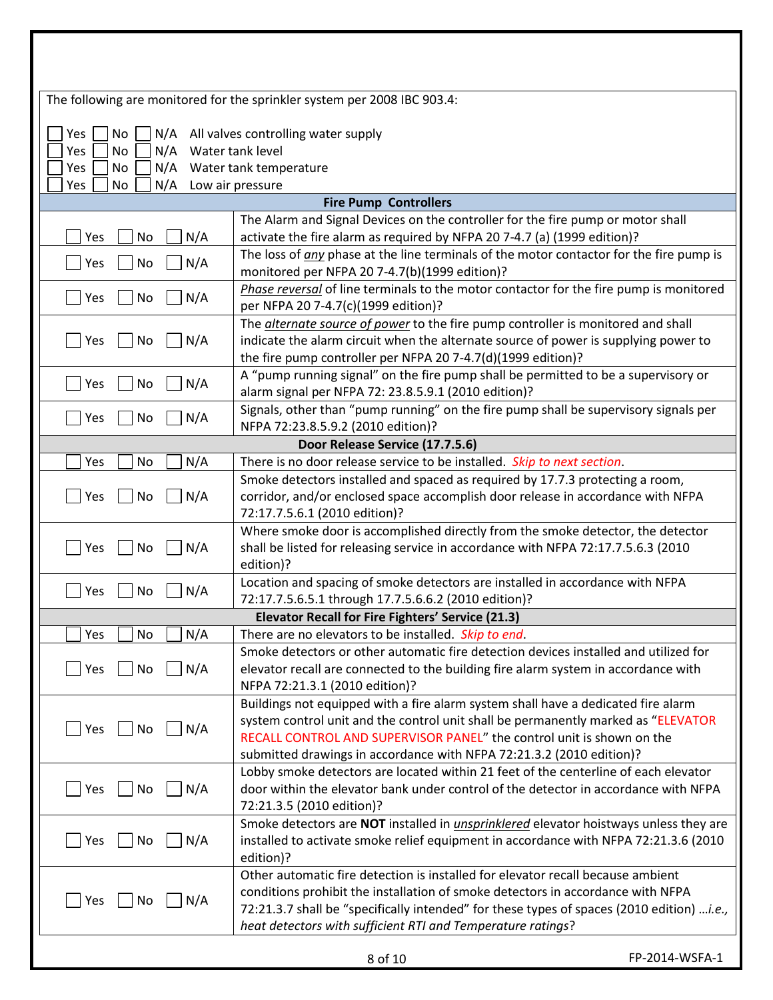|                         | The following are monitored for the sprinkler system per 2008 IBC 903.4:                                                                                    |                |
|-------------------------|-------------------------------------------------------------------------------------------------------------------------------------------------------------|----------------|
|                         |                                                                                                                                                             |                |
| Yes<br>No               | N/A All valves controlling water supply                                                                                                                     |                |
| No<br>N/A<br>Yes        | Water tank level                                                                                                                                            |                |
| N/A<br>No<br>Yes        | Water tank temperature                                                                                                                                      |                |
| N/A<br>No<br>Yes        | Low air pressure                                                                                                                                            |                |
|                         | <b>Fire Pump Controllers</b>                                                                                                                                |                |
| N/A<br>No<br>Yes        | The Alarm and Signal Devices on the controller for the fire pump or motor shall<br>activate the fire alarm as required by NFPA 20 7-4.7 (a) (1999 edition)? |                |
| N/A<br>No<br>Yes        | The loss of any phase at the line terminals of the motor contactor for the fire pump is                                                                     |                |
|                         | monitored per NFPA 20 7-4.7(b)(1999 edition)?                                                                                                               |                |
| N/A<br>No<br>Yes        | Phase reversal of line terminals to the motor contactor for the fire pump is monitored<br>per NFPA 20 7-4.7(c)(1999 edition)?                               |                |
|                         | The <i>alternate source of power</i> to the fire pump controller is monitored and shall                                                                     |                |
| N/A<br>Yes<br>No        | indicate the alarm circuit when the alternate source of power is supplying power to                                                                         |                |
|                         | the fire pump controller per NFPA 20 7-4.7(d)(1999 edition)?                                                                                                |                |
| N/A<br>Yes<br>No        | A "pump running signal" on the fire pump shall be permitted to be a supervisory or                                                                          |                |
|                         | alarm signal per NFPA 72: 23.8.5.9.1 (2010 edition)?                                                                                                        |                |
| N/A<br>Yes<br>No        | Signals, other than "pump running" on the fire pump shall be supervisory signals per                                                                        |                |
|                         | NFPA 72:23.8.5.9.2 (2010 edition)?                                                                                                                          |                |
| N/A<br>No<br>Yes        | Door Release Service (17.7.5.6)<br>There is no door release service to be installed. Skip to next section.                                                  |                |
|                         | Smoke detectors installed and spaced as required by 17.7.3 protecting a room,                                                                               |                |
| N/A<br>Yes<br><b>No</b> | corridor, and/or enclosed space accomplish door release in accordance with NFPA                                                                             |                |
|                         | 72:17.7.5.6.1 (2010 edition)?                                                                                                                               |                |
|                         | Where smoke door is accomplished directly from the smoke detector, the detector                                                                             |                |
| N/A<br>No<br>Yes        | shall be listed for releasing service in accordance with NFPA 72:17.7.5.6.3 (2010                                                                           |                |
|                         | edition)?                                                                                                                                                   |                |
| No<br>N/A<br>Yes        | Location and spacing of smoke detectors are installed in accordance with NFPA                                                                               |                |
|                         | 72:17.7.5.6.5.1 through 17.7.5.6.6.2 (2010 edition)?                                                                                                        |                |
|                         | Elevator Recall for Fire Fighters' Service (21.3)                                                                                                           |                |
| No<br>N/A<br>Yes        | There are no elevators to be installed. Skip to end.                                                                                                        |                |
|                         | Smoke detectors or other automatic fire detection devices installed and utilized for                                                                        |                |
| N/A<br>Yes<br>No        | elevator recall are connected to the building fire alarm system in accordance with<br>NFPA 72:21.3.1 (2010 edition)?                                        |                |
|                         | Buildings not equipped with a fire alarm system shall have a dedicated fire alarm                                                                           |                |
|                         | system control unit and the control unit shall be permanently marked as "ELEVATOR                                                                           |                |
| Yes<br>No<br>N/A        | RECALL CONTROL AND SUPERVISOR PANEL" the control unit is shown on the                                                                                       |                |
|                         | submitted drawings in accordance with NFPA 72:21.3.2 (2010 edition)?                                                                                        |                |
|                         | Lobby smoke detectors are located within 21 feet of the centerline of each elevator                                                                         |                |
| N/A<br>Yes<br>No        | door within the elevator bank under control of the detector in accordance with NFPA                                                                         |                |
|                         | 72:21.3.5 (2010 edition)?                                                                                                                                   |                |
|                         | Smoke detectors are NOT installed in <i>unsprinklered</i> elevator hoistways unless they are                                                                |                |
| Yes<br>No<br>N/A        | installed to activate smoke relief equipment in accordance with NFPA 72:21.3.6 (2010<br>edition)?                                                           |                |
|                         | Other automatic fire detection is installed for elevator recall because ambient                                                                             |                |
|                         | conditions prohibit the installation of smoke detectors in accordance with NFPA                                                                             |                |
| Yes<br>No<br>N/A        | 72:21.3.7 shall be "specifically intended" for these types of spaces (2010 edition) i.e.,                                                                   |                |
|                         | heat detectors with sufficient RTI and Temperature ratings?                                                                                                 |                |
|                         |                                                                                                                                                             |                |
|                         | 8 of 10                                                                                                                                                     | FP-2014-WSFA-1 |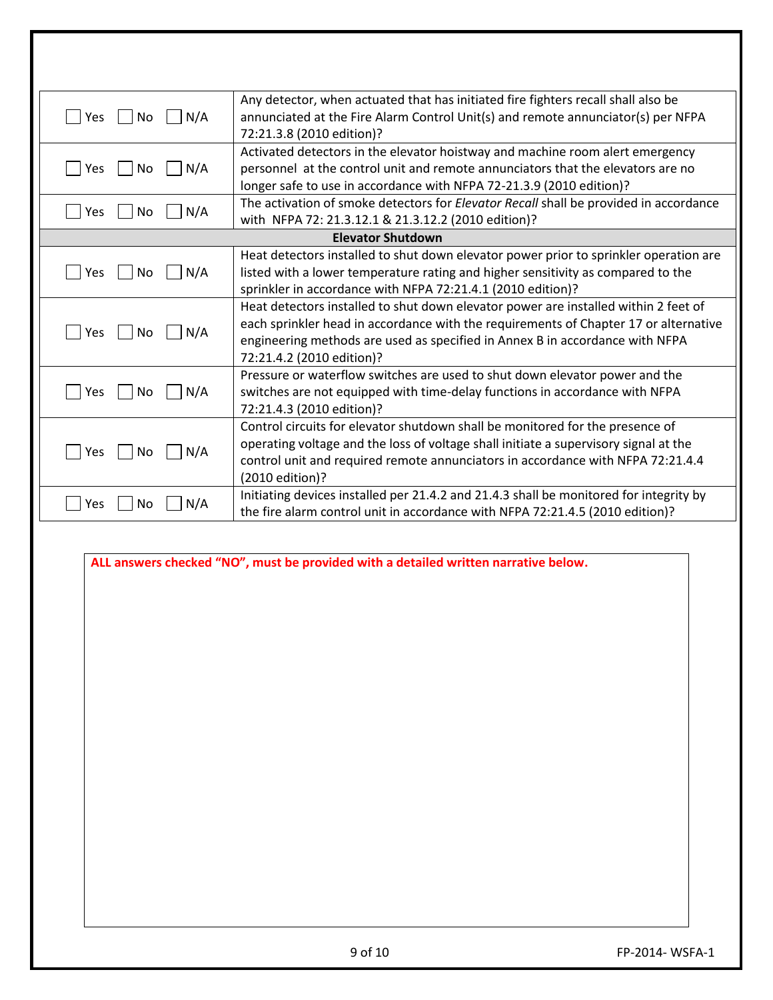| $\vert$ $\vert$ No<br>N/A<br> Yes | Any detector, when actuated that has initiated fire fighters recall shall also be<br>annunciated at the Fire Alarm Control Unit(s) and remote annunciator(s) per NFPA<br>72:21.3.8 (2010 edition)?                                                                                       |                |
|-----------------------------------|------------------------------------------------------------------------------------------------------------------------------------------------------------------------------------------------------------------------------------------------------------------------------------------|----------------|
| N/A<br>Yes<br>  No                | Activated detectors in the elevator hoistway and machine room alert emergency<br>personnel at the control unit and remote annunciators that the elevators are no<br>longer safe to use in accordance with NFPA 72-21.3.9 (2010 edition)?                                                 |                |
| N/A<br>No<br>Yes                  | The activation of smoke detectors for Elevator Recall shall be provided in accordance<br>with NFPA 72: 21.3.12.1 & 21.3.12.2 (2010 edition)?                                                                                                                                             |                |
|                                   | <b>Elevator Shutdown</b>                                                                                                                                                                                                                                                                 |                |
| N/A<br>No<br>Yes                  | Heat detectors installed to shut down elevator power prior to sprinkler operation are<br>listed with a lower temperature rating and higher sensitivity as compared to the<br>sprinkler in accordance with NFPA 72:21.4.1 (2010 edition)?                                                 |                |
| N/A<br>No<br>Yes                  | Heat detectors installed to shut down elevator power are installed within 2 feet of<br>each sprinkler head in accordance with the requirements of Chapter 17 or alternative<br>engineering methods are used as specified in Annex B in accordance with NFPA<br>72:21.4.2 (2010 edition)? |                |
| No<br>N/A<br>Yes                  | Pressure or waterflow switches are used to shut down elevator power and the<br>switches are not equipped with time-delay functions in accordance with NFPA<br>72:21.4.3 (2010 edition)?                                                                                                  |                |
| No<br>N/A<br>Yes                  | Control circuits for elevator shutdown shall be monitored for the presence of<br>operating voltage and the loss of voltage shall initiate a supervisory signal at the<br>control unit and required remote annunciators in accordance with NFPA 72:21.4.4<br>(2010 edition)?              |                |
| N/A<br>Yes<br>No                  | Initiating devices installed per 21.4.2 and 21.4.3 shall be monitored for integrity by<br>the fire alarm control unit in accordance with NFPA 72:21.4.5 (2010 edition)?                                                                                                                  |                |
|                                   | ALL answers checked "NO", must be provided with a detailed written narrative below.                                                                                                                                                                                                      |                |
|                                   | 9 of 10                                                                                                                                                                                                                                                                                  | FP-2014-WSFA-1 |